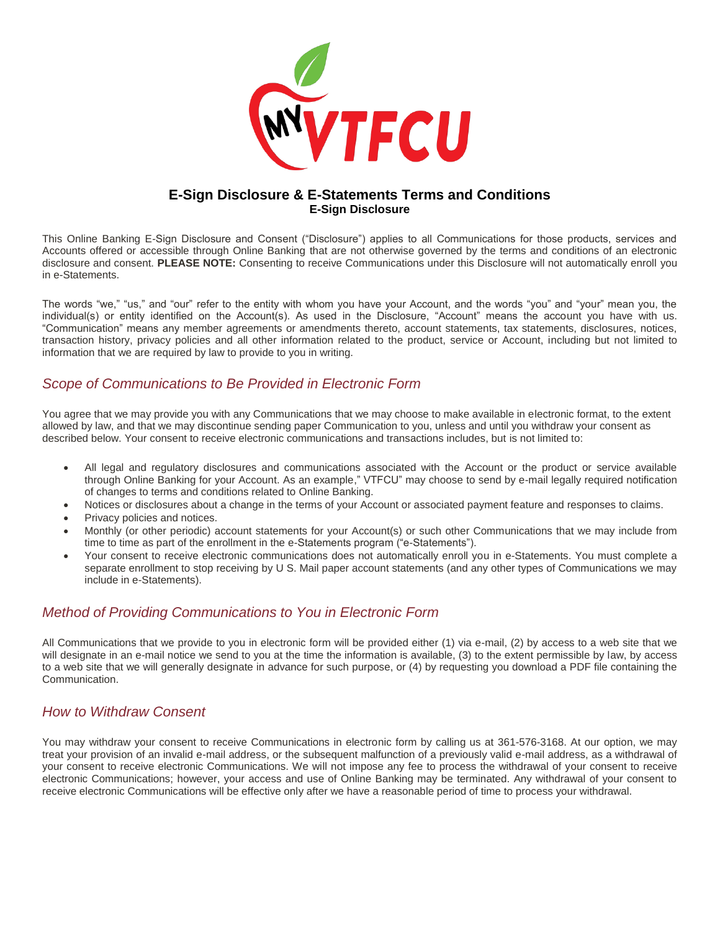

#### **E-Sign Disclosure & E-Statements Terms and Conditions E-Sign Disclosure**

This Online Banking E-Sign Disclosure and Consent ("Disclosure") applies to all Communications for those products, services and Accounts offered or accessible through Online Banking that are not otherwise governed by the terms and conditions of an electronic disclosure and consent. **PLEASE NOTE:** Consenting to receive Communications under this Disclosure will not automatically enroll you in e-Statements.

The words "we," "us," and "our" refer to the entity with whom you have your Account, and the words "you" and "your" mean you, the individual(s) or entity identified on the Account(s). As used in the Disclosure, "Account" means the account you have with us. "Communication" means any member agreements or amendments thereto, account statements, tax statements, disclosures, notices, transaction history, privacy policies and all other information related to the product, service or Account, including but not limited to information that we are required by law to provide to you in writing.

## *Scope of Communications to Be Provided in Electronic Form*

You agree that we may provide you with any Communications that we may choose to make available in electronic format, to the extent allowed by law, and that we may discontinue sending paper Communication to you, unless and until you withdraw your consent as described below. Your consent to receive electronic communications and transactions includes, but is not limited to:

- All legal and regulatory disclosures and communications associated with the Account or the product or service available through Online Banking for your Account. As an example," VTFCU" may choose to send by e-mail legally required notification of changes to terms and conditions related to Online Banking.
- Notices or disclosures about a change in the terms of your Account or associated payment feature and responses to claims.
- Privacy policies and notices.
- Monthly (or other periodic) account statements for your Account(s) or such other Communications that we may include from time to time as part of the enrollment in the e-Statements program ("e-Statements").
- Your consent to receive electronic communications does not automatically enroll you in e-Statements. You must complete a separate enrollment to stop receiving by U S. Mail paper account statements (and any other types of Communications we may include in e-Statements).

## *Method of Providing Communications to You in Electronic Form*

All Communications that we provide to you in electronic form will be provided either (1) via e-mail, (2) by access to a web site that we will designate in an e-mail notice we send to you at the time the information is available, (3) to the extent permissible by law, by access to a web site that we will generally designate in advance for such purpose, or (4) by requesting you download a PDF file containing the Communication.

## *How to Withdraw Consent*

You may withdraw your consent to receive Communications in electronic form by calling us at 361-576-3168. At our option, we may treat your provision of an invalid e-mail address, or the subsequent malfunction of a previously valid e-mail address, as a withdrawal of your consent to receive electronic Communications. We will not impose any fee to process the withdrawal of your consent to receive electronic Communications; however, your access and use of Online Banking may be terminated. Any withdrawal of your consent to receive electronic Communications will be effective only after we have a reasonable period of time to process your withdrawal.